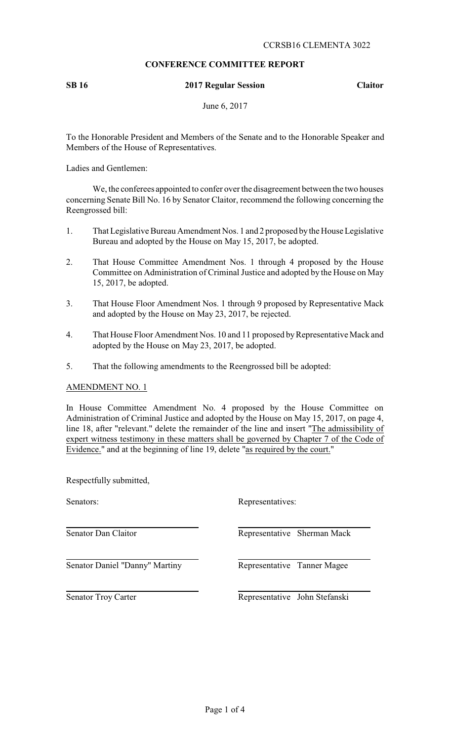## **CONFERENCE COMMITTEE REPORT**

#### **SB 16 2017 Regular Session Claitor**

June 6, 2017

To the Honorable President and Members of the Senate and to the Honorable Speaker and Members of the House of Representatives.

Ladies and Gentlemen:

We, the conferees appointed to confer over the disagreement between the two houses concerning Senate Bill No. 16 by Senator Claitor, recommend the following concerning the Reengrossed bill:

- 1. That Legislative Bureau Amendment Nos. 1 and 2 proposed bythe House Legislative Bureau and adopted by the House on May 15, 2017, be adopted.
- 2. That House Committee Amendment Nos. 1 through 4 proposed by the House Committee on Administration of Criminal Justice and adopted by the House on May 15, 2017, be adopted.
- 3. That House Floor Amendment Nos. 1 through 9 proposed by Representative Mack and adopted by the House on May 23, 2017, be rejected.
- 4. That House Floor Amendment Nos. 10 and 11 proposed by Representative Mack and adopted by the House on May 23, 2017, be adopted.
- 5. That the following amendments to the Reengrossed bill be adopted:

AMENDMENT NO. 1

In House Committee Amendment No. 4 proposed by the House Committee on Administration of Criminal Justice and adopted by the House on May 15, 2017, on page 4, line 18, after "relevant." delete the remainder of the line and insert "The admissibility of expert witness testimony in these matters shall be governed by Chapter 7 of the Code of Evidence." and at the beginning of line 19, delete "as required by the court."

Respectfully submitted,

Senator Daniel "Danny" Martiny Representative Tanner Magee

Senators: Representatives:

Senator Dan Claitor **Representative Sherman Mack** 

Senator Troy Carter Representative John Stefanski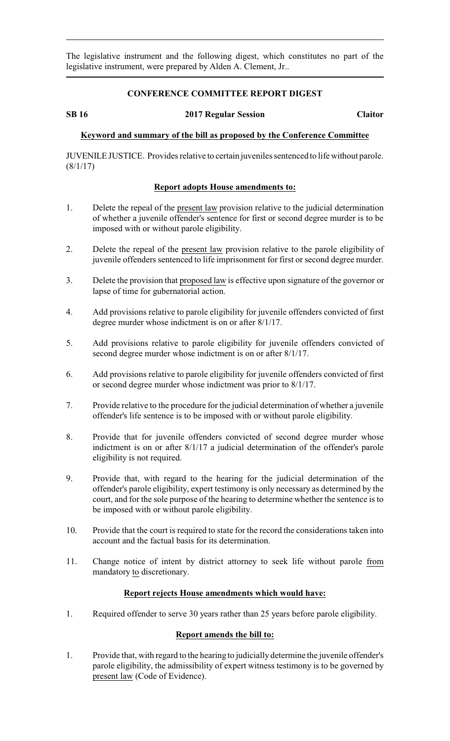The legislative instrument and the following digest, which constitutes no part of the legislative instrument, were prepared by Alden A. Clement, Jr..

#### **CONFERENCE COMMITTEE REPORT DIGEST**

#### **SB 16 2017 Regular Session Claitor**

## **Keyword and summary of the bill as proposed by the Conference Committee**

JUVENILE JUSTICE. Provides relative to certain juveniles sentenced to life without parole.  $(8/1/17)$ 

### **Report adopts House amendments to:**

- 1. Delete the repeal of the present law provision relative to the judicial determination of whether a juvenile offender's sentence for first or second degree murder is to be imposed with or without parole eligibility.
- 2. Delete the repeal of the present law provision relative to the parole eligibility of juvenile offenders sentenced to life imprisonment for first or second degree murder.
- 3. Delete the provision that proposed law is effective upon signature of the governor or lapse of time for gubernatorial action.
- 4. Add provisions relative to parole eligibility for juvenile offenders convicted of first degree murder whose indictment is on or after 8/1/17.
- 5. Add provisions relative to parole eligibility for juvenile offenders convicted of second degree murder whose indictment is on or after 8/1/17.
- 6. Add provisions relative to parole eligibility for juvenile offenders convicted of first or second degree murder whose indictment was prior to 8/1/17.
- 7. Provide relative to the procedure for the judicial determination of whether a juvenile offender's life sentence is to be imposed with or without parole eligibility.
- 8. Provide that for juvenile offenders convicted of second degree murder whose indictment is on or after 8/1/17 a judicial determination of the offender's parole eligibility is not required.
- 9. Provide that, with regard to the hearing for the judicial determination of the offender's parole eligibility, expert testimony is only necessary as determined by the court, and for the sole purpose of the hearing to determine whether the sentence is to be imposed with or without parole eligibility.
- 10. Provide that the court is required to state for the record the considerations taken into account and the factual basis for its determination.
- 11. Change notice of intent by district attorney to seek life without parole from mandatory to discretionary.

### **Report rejects House amendments which would have:**

1. Required offender to serve 30 years rather than 25 years before parole eligibility.

### **Report amends the bill to:**

1. Provide that, with regard to the hearing to judicially determine the juvenile offender's parole eligibility, the admissibility of expert witness testimony is to be governed by present law (Code of Evidence).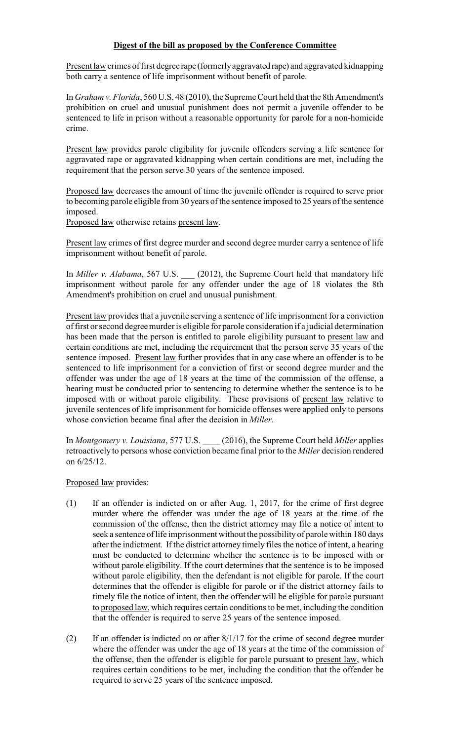# **Digest of the bill as proposed by the Conference Committee**

Present law crimes of first degree rape (formerlyaggravated rape) and aggravated kidnapping both carry a sentence of life imprisonment without benefit of parole.

In *Graham v. Florida*, 560 U.S. 48 (2010), the Supreme Court held that the 8th Amendment's prohibition on cruel and unusual punishment does not permit a juvenile offender to be sentenced to life in prison without a reasonable opportunity for parole for a non-homicide crime.

Present law provides parole eligibility for juvenile offenders serving a life sentence for aggravated rape or aggravated kidnapping when certain conditions are met, including the requirement that the person serve 30 years of the sentence imposed.

Proposed law decreases the amount of time the juvenile offender is required to serve prior to becoming parole eligible from 30 years of the sentence imposed to 25 years of the sentence imposed.

Proposed law otherwise retains present law.

Present law crimes of first degree murder and second degree murder carry a sentence of life imprisonment without benefit of parole.

In *Miller v. Alabama*, 567 U.S. \_\_\_ (2012), the Supreme Court held that mandatory life imprisonment without parole for any offender under the age of 18 violates the 8th Amendment's prohibition on cruel and unusual punishment.

Present law provides that a juvenile serving a sentence of life imprisonment for a conviction of first or second degreemurder is eligible for parole consideration if a judicial determination has been made that the person is entitled to parole eligibility pursuant to present law and certain conditions are met, including the requirement that the person serve 35 years of the sentence imposed. Present law further provides that in any case where an offender is to be sentenced to life imprisonment for a conviction of first or second degree murder and the offender was under the age of 18 years at the time of the commission of the offense, a hearing must be conducted prior to sentencing to determine whether the sentence is to be imposed with or without parole eligibility. These provisions of present law relative to juvenile sentences of life imprisonment for homicide offenses were applied only to persons whose conviction became final after the decision in *Miller*.

In *Montgomery v. Louisiana*, 577 U.S. \_\_\_\_ (2016), the Supreme Court held *Miller* applies retroactively to persons whose conviction became final prior to the *Miller* decision rendered on 6/25/12.

# Proposed law provides:

- (1) If an offender is indicted on or after Aug. 1, 2017, for the crime of first degree murder where the offender was under the age of 18 years at the time of the commission of the offense, then the district attorney may file a notice of intent to seek a sentence of life imprisonment without the possibility of parole within 180 days after the indictment. If the district attorney timely files the notice of intent, a hearing must be conducted to determine whether the sentence is to be imposed with or without parole eligibility. If the court determines that the sentence is to be imposed without parole eligibility, then the defendant is not eligible for parole. If the court determines that the offender is eligible for parole or if the district attorney fails to timely file the notice of intent, then the offender will be eligible for parole pursuant to proposed law, which requires certain conditions to be met, including the condition that the offender is required to serve 25 years of the sentence imposed.
- (2) If an offender is indicted on or after 8/1/17 for the crime of second degree murder where the offender was under the age of 18 years at the time of the commission of the offense, then the offender is eligible for parole pursuant to present law, which requires certain conditions to be met, including the condition that the offender be required to serve 25 years of the sentence imposed.